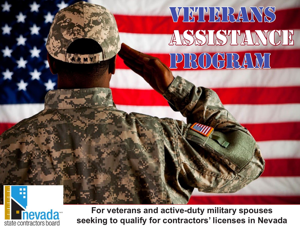## VETERANS ASSISTANCE Program



**For veterans and active-duty military spouses seeking to qualify for contractors' licenses in Nevada**